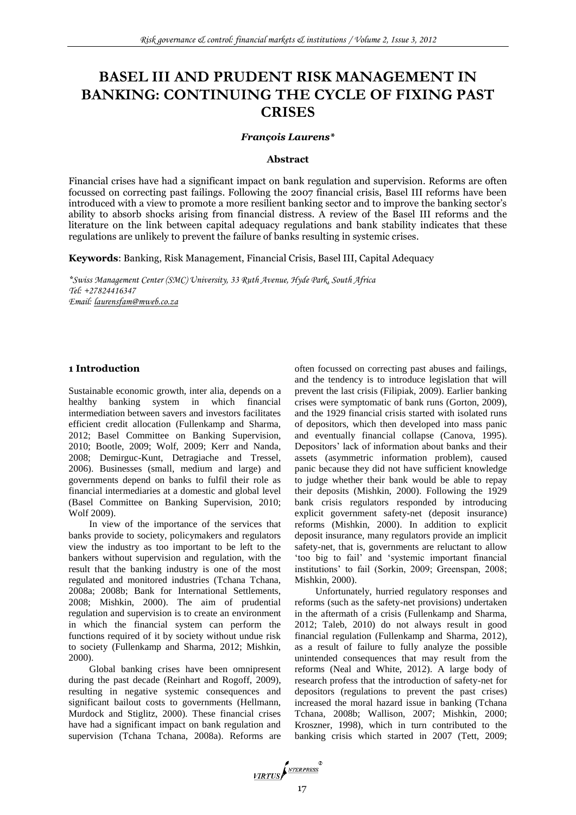# **BASEL III AND PRUDENT RISK MANAGEMENT IN BANKING: CONTINUING THE CYCLE OF FIXING PAST CRISES**

#### *François Laurens\**

#### **Abstract**

Financial crises have had a significant impact on bank regulation and supervision. Reforms are often focussed on correcting past failings. Following the 2007 financial crisis, Basel III reforms have been introduced with a view to promote a more resilient banking sector and to improve the banking sector's ability to absorb shocks arising from financial distress. A review of the Basel III reforms and the literature on the link between capital adequacy regulations and bank stability indicates that these regulations are unlikely to prevent the failure of banks resulting in systemic crises.

**Keywords**: Banking, Risk Management, Financial Crisis, Basel III, Capital Adequacy

*\*Swiss Management Center (SMC) University, 33 Ruth Avenue, Hyde Park, South Africa Tel: +27824416347 Email: [laurensfam@mweb.co.za](mailto:laurensfam@mweb.co.za)*

#### **1 Introduction**

Sustainable economic growth, inter alia, depends on a healthy banking system in which financial intermediation between savers and investors facilitates efficient credit allocation (Fullenkamp and Sharma, 2012; Basel Committee on Banking Supervision, 2010; Bootle, 2009; Wolf, 2009; Kerr and Nanda, 2008; Demirguc-Kunt, Detragiache and Tressel, 2006). Businesses (small, medium and large) and governments depend on banks to fulfil their role as financial intermediaries at a domestic and global level (Basel Committee on Banking Supervision, 2010; Wolf 2009).

In view of the importance of the services that banks provide to society, policymakers and regulators view the industry as too important to be left to the bankers without supervision and regulation, with the result that the banking industry is one of the most regulated and monitored industries (Tchana Tchana, 2008a; 2008b; Bank for International Settlements, 2008; Mishkin, 2000). The aim of prudential regulation and supervision is to create an environment in which the financial system can perform the functions required of it by society without undue risk to society (Fullenkamp and Sharma, 2012; Mishkin, 2000).

Global banking crises have been omnipresent during the past decade (Reinhart and Rogoff, 2009), resulting in negative systemic consequences and significant bailout costs to governments (Hellmann, Murdock and Stiglitz, 2000). These financial crises have had a significant impact on bank regulation and supervision (Tchana Tchana, 2008a). Reforms are often focussed on correcting past abuses and failings, and the tendency is to introduce legislation that will prevent the last crisis (Filipiak, 2009). Earlier banking crises were symptomatic of bank runs (Gorton, 2009), and the 1929 financial crisis started with isolated runs of depositors, which then developed into mass panic and eventually financial collapse (Canova, 1995). Depositors' lack of information about banks and their assets (asymmetric information problem), caused panic because they did not have sufficient knowledge to judge whether their bank would be able to repay their deposits (Mishkin, 2000). Following the 1929 bank crisis regulators responded by introducing explicit government safety-net (deposit insurance) reforms (Mishkin, 2000). In addition to explicit deposit insurance, many regulators provide an implicit safety-net, that is, governments are reluctant to allow "too big to fail" and "systemic important financial institutions" to fail (Sorkin, 2009; Greenspan, 2008; Mishkin, 2000).

Unfortunately, hurried regulatory responses and reforms (such as the safety-net provisions) undertaken in the aftermath of a crisis (Fullenkamp and Sharma, 2012; Taleb, 2010) do not always result in good financial regulation (Fullenkamp and Sharma, 2012), as a result of failure to fully analyze the possible unintended consequences that may result from the reforms (Neal and White, 2012). A large body of research profess that the introduction of safety-net for depositors (regulations to prevent the past crises) increased the moral hazard issue in banking (Tchana Tchana, 2008b; Wallison, 2007; Mishkin, 2000; Kroszner, 1998), which in turn contributed to the banking crisis which started in 2007 (Tett, 2009;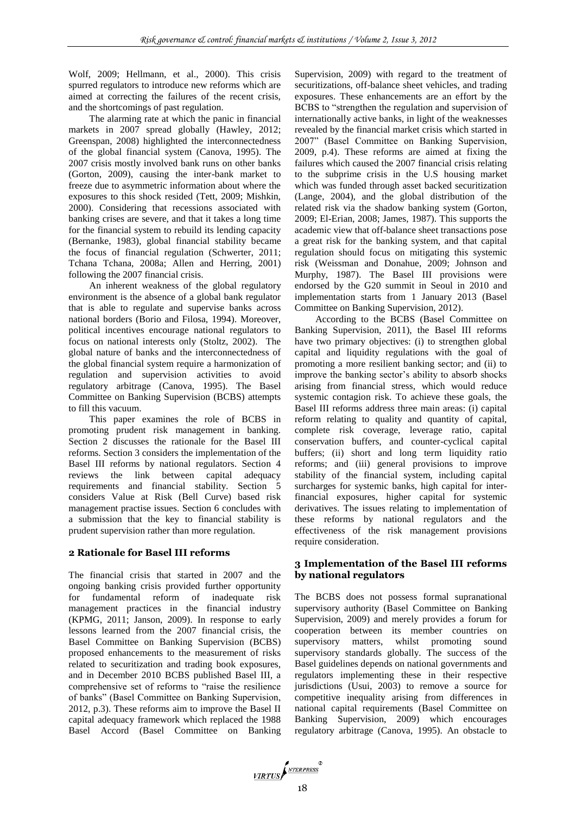Wolf, 2009; Hellmann, et al., 2000). This crisis spurred regulators to introduce new reforms which are aimed at correcting the failures of the recent crisis, and the shortcomings of past regulation.

The alarming rate at which the panic in financial markets in 2007 spread globally (Hawley, 2012; Greenspan, 2008) highlighted the interconnectedness of the global financial system (Canova, 1995). The 2007 crisis mostly involved bank runs on other banks (Gorton, 2009), causing the inter-bank market to freeze due to asymmetric information about where the exposures to this shock resided (Tett, 2009; Mishkin, 2000). Considering that recessions associated with banking crises are severe, and that it takes a long time for the financial system to rebuild its lending capacity (Bernanke, 1983), global financial stability became the focus of financial regulation (Schwerter, 2011; Tchana Tchana, 2008a; Allen and Herring, 2001) following the 2007 financial crisis.

An inherent weakness of the global regulatory environment is the absence of a global bank regulator that is able to regulate and supervise banks across national borders (Borio and Filosa, 1994). Moreover, political incentives encourage national regulators to focus on national interests only (Stoltz, 2002). The global nature of banks and the interconnectedness of the global financial system require a harmonization of regulation and supervision activities to avoid regulatory arbitrage (Canova, 1995). The Basel Committee on Banking Supervision (BCBS) attempts to fill this vacuum.

This paper examines the role of BCBS in promoting prudent risk management in banking. Section 2 discusses the rationale for the Basel III reforms. Section 3 considers the implementation of the Basel III reforms by national regulators. Section 4 reviews the link between capital adequacy requirements and financial stability. Section 5 considers Value at Risk (Bell Curve) based risk management practise issues. Section 6 concludes with a submission that the key to financial stability is prudent supervision rather than more regulation.

## **2 Rationale for Basel III reforms**

The financial crisis that started in 2007 and the ongoing banking crisis provided further opportunity for fundamental reform of inadequate risk management practices in the financial industry (KPMG, 2011; Janson, 2009). In response to early lessons learned from the 2007 financial crisis, the Basel Committee on Banking Supervision (BCBS) proposed enhancements to the measurement of risks related to securitization and trading book exposures, and in December 2010 BCBS published Basel III, a comprehensive set of reforms to "raise the resilience of banks" (Basel Committee on Banking Supervision, 2012, p.3). These reforms aim to improve the Basel II capital adequacy framework which replaced the 1988 Basel Accord (Basel Committee on Banking Supervision, 2009) with regard to the treatment of securitizations, off-balance sheet vehicles, and trading exposures. These enhancements are an effort by the BCBS to "strengthen the regulation and supervision of internationally active banks, in light of the weaknesses revealed by the financial market crisis which started in 2007" (Basel Committee on Banking Supervision, 2009, p.4). These reforms are aimed at fixing the failures which caused the 2007 financial crisis relating to the subprime crisis in the U.S housing market which was funded through asset backed securitization (Lange, 2004), and the global distribution of the related risk via the shadow banking system (Gorton, 2009; El-Erian, 2008; James, 1987). This supports the academic view that off-balance sheet transactions pose a great risk for the banking system, and that capital regulation should focus on mitigating this systemic risk (Weissman and Donahue, 2009; Johnson and Murphy, 1987). The Basel III provisions were endorsed by the G20 summit in Seoul in 2010 and implementation starts from 1 January 2013 (Basel Committee on Banking Supervision, 2012).

According to the BCBS (Basel Committee on Banking Supervision, 2011), the Basel III reforms have two primary objectives: (i) to strengthen global capital and liquidity regulations with the goal of promoting a more resilient banking sector; and (ii) to improve the banking sector's ability to absorb shocks arising from financial stress, which would reduce systemic contagion risk. To achieve these goals, the Basel III reforms address three main areas: (i) capital reform relating to quality and quantity of capital, complete risk coverage, leverage ratio, capital conservation buffers, and counter-cyclical capital buffers; (ii) short and long term liquidity ratio reforms; and (iii) general provisions to improve stability of the financial system, including capital surcharges for systemic banks, high capital for interfinancial exposures, higher capital for systemic derivatives. The issues relating to implementation of these reforms by national regulators and the effectiveness of the risk management provisions require consideration.

## **3 Implementation of the Basel III reforms by national regulators**

The BCBS does not possess formal supranational supervisory authority (Basel Committee on Banking Supervision, 2009) and merely provides a forum for cooperation between its member countries on supervisory matters, whilst promoting sound supervisory standards globally. The success of the Basel guidelines depends on national governments and regulators implementing these in their respective jurisdictions (Usui, 2003) to remove a source for competitive inequality arising from differences in national capital requirements (Basel Committee on Banking Supervision, 2009) which encourages regulatory arbitrage (Canova, 1995). An obstacle to

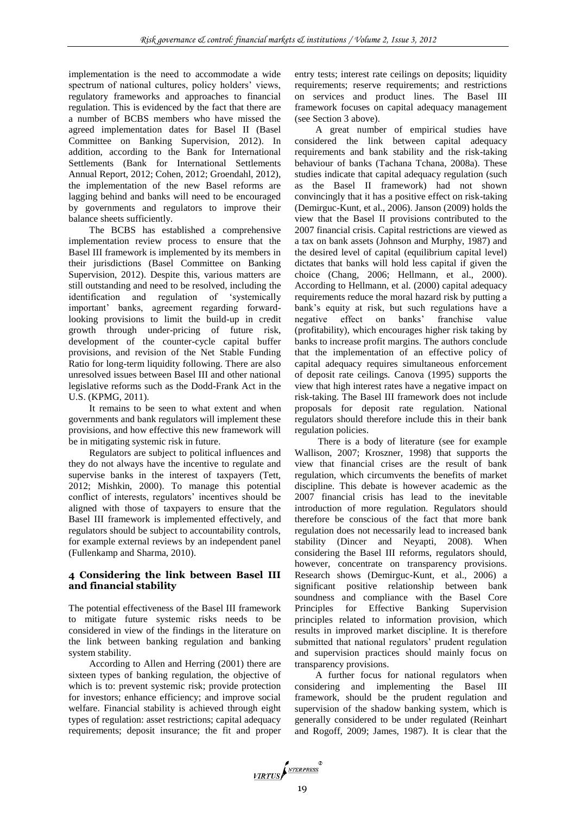implementation is the need to accommodate a wide spectrum of national cultures, policy holders' views, regulatory frameworks and approaches to financial regulation. This is evidenced by the fact that there are a number of BCBS members who have missed the agreed implementation dates for Basel II (Basel Committee on Banking Supervision, 2012). In addition, according to the Bank for International Settlements (Bank for International Settlements Annual Report, 2012; Cohen, 2012; Groendahl, 2012), the implementation of the new Basel reforms are lagging behind and banks will need to be encouraged by governments and regulators to improve their balance sheets sufficiently.

The BCBS has established a comprehensive implementation review process to ensure that the Basel III framework is implemented by its members in their jurisdictions (Basel Committee on Banking Supervision, 2012). Despite this, various matters are still outstanding and need to be resolved, including the identification and regulation of "systemically important" banks, agreement regarding forwardlooking provisions to limit the build-up in credit growth through under-pricing of future risk, development of the counter-cycle capital buffer provisions, and revision of the Net Stable Funding Ratio for long-term liquidity following. There are also unresolved issues between Basel III and other national legislative reforms such as the Dodd-Frank Act in the U.S. (KPMG, 2011).

It remains to be seen to what extent and when governments and bank regulators will implement these provisions, and how effective this new framework will be in mitigating systemic risk in future.

Regulators are subject to political influences and they do not always have the incentive to regulate and supervise banks in the interest of taxpayers (Tett, 2012; Mishkin, 2000). To manage this potential conflict of interests, regulators' incentives should be aligned with those of taxpayers to ensure that the Basel III framework is implemented effectively, and regulators should be subject to accountability controls, for example external reviews by an independent panel (Fullenkamp and Sharma, 2010).

## **4 Considering the link between Basel III and financial stability**

The potential effectiveness of the Basel III framework to mitigate future systemic risks needs to be considered in view of the findings in the literature on the link between banking regulation and banking system stability.

According to Allen and Herring (2001) there are sixteen types of banking regulation, the objective of which is to: prevent systemic risk; provide protection for investors; enhance efficiency; and improve social welfare. Financial stability is achieved through eight types of regulation: asset restrictions; capital adequacy requirements; deposit insurance; the fit and proper entry tests; interest rate ceilings on deposits; liquidity requirements; reserve requirements; and restrictions on services and product lines. The Basel III framework focuses on capital adequacy management (see Section 3 above).

A great number of empirical studies have considered the link between capital adequacy requirements and bank stability and the risk-taking behaviour of banks (Tachana Tchana, 2008a). These studies indicate that capital adequacy regulation (such as the Basel II framework) had not shown convincingly that it has a positive effect on risk-taking (Demirguc-Kunt, et al., 2006). Janson (2009) holds the view that the Basel II provisions contributed to the 2007 financial crisis. Capital restrictions are viewed as a tax on bank assets (Johnson and Murphy, 1987) and the desired level of capital (equilibrium capital level) dictates that banks will hold less capital if given the choice (Chang, 2006; Hellmann, et al., 2000). According to Hellmann, et al. (2000) capital adequacy requirements reduce the moral hazard risk by putting a bank"s equity at risk, but such regulations have a negative effect on banks" franchise value (profitability), which encourages higher risk taking by banks to increase profit margins. The authors conclude that the implementation of an effective policy of capital adequacy requires simultaneous enforcement of deposit rate ceilings. Canova (1995) supports the view that high interest rates have a negative impact on risk-taking. The Basel III framework does not include proposals for deposit rate regulation. National regulators should therefore include this in their bank regulation policies.

There is a body of literature (see for example Wallison, 2007; Kroszner, 1998) that supports the view that financial crises are the result of bank regulation, which circumvents the benefits of market discipline. This debate is however academic as the 2007 financial crisis has lead to the inevitable introduction of more regulation. Regulators should therefore be conscious of the fact that more bank regulation does not necessarily lead to increased bank stability (Dincer and Neyapti, 2008). When considering the Basel III reforms, regulators should, however, concentrate on transparency provisions. Research shows (Demirguc-Kunt, et al., 2006) a significant positive relationship between bank soundness and compliance with the Basel Core Principles for Effective Banking Supervision principles related to information provision, which results in improved market discipline. It is therefore submitted that national regulators' prudent regulation and supervision practices should mainly focus on transparency provisions.

A further focus for national regulators when considering and implementing the Basel III framework, should be the prudent regulation and supervision of the shadow banking system, which is generally considered to be under regulated (Reinhart and Rogoff, 2009; James, 1987). It is clear that the

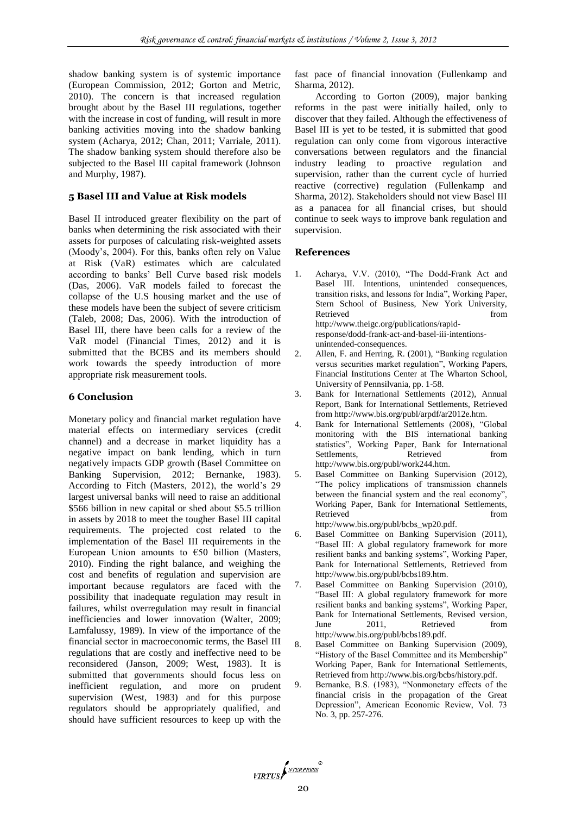shadow banking system is of systemic importance (European Commission, 2012; Gorton and Metric, 2010). The concern is that increased regulation brought about by the Basel III regulations, together with the increase in cost of funding, will result in more banking activities moving into the shadow banking system (Acharya, 2012; Chan, 2011; Varriale, 2011). The shadow banking system should therefore also be subjected to the Basel III capital framework (Johnson and Murphy, 1987).

# **5 Basel III and Value at Risk models**

Basel II introduced greater flexibility on the part of banks when determining the risk associated with their assets for purposes of calculating risk-weighted assets (Moody"s, 2004). For this, banks often rely on Value at Risk (VaR) estimates which are calculated according to banks" Bell Curve based risk models (Das, 2006). VaR models failed to forecast the collapse of the U.S housing market and the use of these models have been the subject of severe criticism (Taleb, 2008; Das, 2006). With the introduction of Basel III, there have been calls for a review of the VaR model (Financial Times, 2012) and it is submitted that the BCBS and its members should work towards the speedy introduction of more appropriate risk measurement tools.

# **6 Conclusion**

Monetary policy and financial market regulation have material effects on intermediary services (credit channel) and a decrease in market liquidity has a negative impact on bank lending, which in turn negatively impacts GDP growth (Basel Committee on Banking Supervision, 2012; Bernanke, 1983). According to Fitch (Masters, 2012), the world"s 29 largest universal banks will need to raise an additional \$566 billion in new capital or shed about \$5.5 trillion in assets by 2018 to meet the tougher Basel III capital requirements. The projected cost related to the implementation of the Basel III requirements in the European Union amounts to  $\epsilon$ 50 billion (Masters, 2010). Finding the right balance, and weighing the cost and benefits of regulation and supervision are important because regulators are faced with the possibility that inadequate regulation may result in failures, whilst overregulation may result in financial inefficiencies and lower innovation (Walter, 2009; Lamfalussy, 1989). In view of the importance of the financial sector in macroeconomic terms, the Basel III regulations that are costly and ineffective need to be reconsidered (Janson, 2009; West, 1983). It is submitted that governments should focus less on inefficient regulation, and more on prudent supervision (West, 1983) and for this purpose regulators should be appropriately qualified, and should have sufficient resources to keep up with the

fast pace of financial innovation (Fullenkamp and Sharma, 2012).

According to Gorton (2009), major banking reforms in the past were initially hailed, only to discover that they failed. Although the effectiveness of Basel III is yet to be tested, it is submitted that good regulation can only come from vigorous interactive conversations between regulators and the financial industry leading to proactive regulation and supervision, rather than the current cycle of hurried reactive (corrective) regulation (Fullenkamp and Sharma, 2012). Stakeholders should not view Basel III as a panacea for all financial crises, but should continue to seek ways to improve bank regulation and supervision.

# **References**

- 1. Acharya, V.V. (2010), "The Dodd-Frank Act and Basel III. Intentions, unintended consequences, transition risks, and lessons for India", Working Paper, Stern School of Business, New York University, Retrieved from the settlement of the settlement of the settlement of the settlement of the settlement of the settlement of the settlement of the settlement of the settlement of the settlement of the settlement of the settl [http://www.theigc.org/publications/rapid](http://www.theigc.org/publications/rapid-response/dodd-frank-act-and-basel-iii-intentions-unintended-consequences)[response/dodd-frank-act-and-basel-iii-intentions](http://www.theigc.org/publications/rapid-response/dodd-frank-act-and-basel-iii-intentions-unintended-consequences)[unintended-consequences.](http://www.theigc.org/publications/rapid-response/dodd-frank-act-and-basel-iii-intentions-unintended-consequences)
- 2. Allen, F. and Herring, R. (2001), "Banking regulation versus securities market regulation", Working Papers, Financial Institutions Center at The Wharton School, University of Pennsilvania, pp. 1-58.
- 3. Bank for International Settlements (2012), Annual Report, Bank for International Settlements, Retrieved fro[m http://www.bis.org/publ/arpdf/ar2012e.htm.](http://www.bis.org/publ/arpdf/ar2012e.htm)
- 4. Bank for International Settlements (2008), "Global monitoring with the BIS international banking statistics", Working Paper, Bank for International Settlements Retrieved from [http://www.bis.org/publ/work244.htm.](http://www.bis.org/publ/work244.htm)
- 5. Basel Committee on Banking Supervision (2012), "The policy implications of transmission channels between the financial system and the real economy", Working Paper, Bank for International Settlements, Retrieved from  $\sim$
- [http://www.bis.org/publ/bcbs\\_wp20.pdf.](http://www.bis.org/publ/bcbs_wp20.pdf)
- 6. Basel Committee on Banking Supervision (2011), "Basel III: A global regulatory framework for more resilient banks and banking systems", Working Paper, Bank for International Settlements, Retrieved from [http://www.bis.org/publ/bcbs189.htm.](http://www.bis.org/publ/bcbs189.htm)
- 7. Basel Committee on Banking Supervision (2010), "Basel III: A global regulatory framework for more resilient banks and banking systems", Working Paper, Bank for International Settlements, Revised version, June 2011, Retrieved from [http://www.bis.org/publ/bcbs189.pdf.](http://www.bis.org/publ/bcbs189.pdf)
- 8. Basel Committee on Banking Supervision (2009), "History of the Basel Committee and its Membership" Working Paper, Bank for International Settlements, Retrieved from [http://www.bis.org/bcbs/history.pdf.](http://www.bis.org/bcbs/history.pdf)
- 9. Bernanke, B.S. (1983), "Nonmonetary effects of the financial crisis in the propagation of the Great Depression", American Economic Review, Vol. 73 No. 3, pp. 257-276.

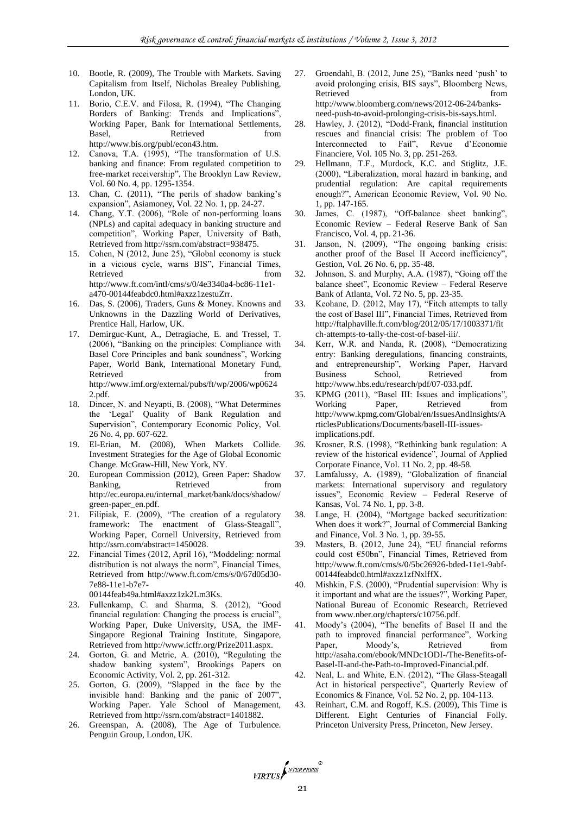- 10. Bootle, R. (2009), The Trouble with Markets. Saving Capitalism from Itself, Nicholas Brealey Publishing, London, UK.
- 11. Borio, C.E.V. and Filosa, R. (1994), "The Changing Borders of Banking: Trends and Implications", Working Paper, Bank for International Settlements*,*  Basel, Retrieved from [http://www.bis.org/publ/econ43.htm.](http://www.bis.org/publ/econ43.htm)
- 12. Canova, T.A. (1995), "The transformation of U.S. banking and finance: From regulated competition to free-market receivership", The Brooklyn Law Review, Vol. 60 No. 4, pp. 1295-1354.
- 13. Chan, C. (2011), "The perils of shadow banking"s expansion", Asiamoney, Vol. 22 No. 1, pp. 24-27.
- 14. Chang, Y.T. (2006), "Role of non-performing loans (NPLs) and capital adequacy in banking structure and competition", Working Paper, University of Bath, Retrieved fro[m http://ssrn.com/abstract=938475.](http://ssrn.com/abstract=938475)
- 15. Cohen, N (2012, June 25), "Global economy is stuck in a vicious cycle, warns BIS", Financial Times, Retrieved from  $\sim$ [http://www.ft.com/intl/cms/s/0/4e3340a4-bc86-11e1](http://www.ft.com/intl/cms/s/0/4e3340a4-bc86-11e1-a470-00144feabdc0.html#axzz1zestuZrr) [a470-00144feabdc0.html#axzz1zestuZrr.](http://www.ft.com/intl/cms/s/0/4e3340a4-bc86-11e1-a470-00144feabdc0.html#axzz1zestuZrr)
- 16. Das, S. (2006), Traders, Guns & Money. Knowns and Unknowns in the Dazzling World of Derivatives, Prentice Hall, Harlow, UK.
- 17. Demirguc-Kunt, A., Detragiache, E. and Tressel, T. (2006), "Banking on the principles: Compliance with Basel Core Principles and bank soundness", Working Paper, World Bank, International Monetary Fund, Retrieved from the state of  $\sim$ [http://www.imf.org/external/pubs/ft/wp/2006/wp0624](http://www.imf.org/external/pubs/ft/wp/2006/wp06242.pdf) [2.pdf.](http://www.imf.org/external/pubs/ft/wp/2006/wp06242.pdf)
- 18. Dincer, N. and Neyapti, B. (2008), "What Determines the "Legal" Quality of Bank Regulation and Supervision", Contemporary Economic Policy, Vol. 26 No. 4, pp. 607-622.
- 19. El-Erian, M. (2008), When Markets Collide. Investment Strategies for the Age of Global Economic Change. McGraw-Hill, New York, NY.
- 20. European Commission (2012), Green Paper: Shadow Banking, Retrieved from [http://ec.europa.eu/internal\\_market/bank/docs/shadow/](http://ec.europa.eu/internal_market/bank/docs/shadow/green-paper_en.pdf) [green-paper\\_en.pdf.](http://ec.europa.eu/internal_market/bank/docs/shadow/green-paper_en.pdf)
- 21. Filipiak, E. (2009), "The creation of a regulatory framework: The enactment of Glass-Steagall", Working Paper, Cornell University, Retrieved from [http://ssrn.com/abstract=1450028.](http://ssrn.com/abstract=1450028)
- 22. Financial Times (2012, April 16), "Moddeling: normal distribution is not always the norm", Financial Times, Retrieved from [http://www.ft.com/cms/s/0/67d05d30-](http://www.ft.com/cms/s/0/67d05d30-7e88-11e1-b7e7-00144feab49a.html#axzz1zk2Lm3Ks) [7e88-11e1-b7e7-](http://www.ft.com/cms/s/0/67d05d30-7e88-11e1-b7e7-00144feab49a.html#axzz1zk2Lm3Ks)

[00144feab49a.html#axzz1zk2Lm3Ks.](http://www.ft.com/cms/s/0/67d05d30-7e88-11e1-b7e7-00144feab49a.html#axzz1zk2Lm3Ks) 

- 23. Fullenkamp, C. and Sharma, S. (2012), "Good financial regulation: Changing the process is crucial", Working Paper, Duke University, USA, the IMF-Singapore Regional Training Institute, Singapore, Retrieved fro[m http://www.icffr.org/Prize2011.aspx.](http://www.icffr.org/Prize2011.aspx)
- 24. Gorton, G. and Metric, A. (2010), "Regulating the shadow banking system", Brookings Papers on Economic Activity, Vol. 2, pp. 261-312.
- 25. Gorton, G. (2009), "Slapped in the face by the invisible hand: Banking and the panic of 2007", Working Paper. Yale School of Management, Retrieved fro[m http://ssrn.com/abstract=1401882.](http://ssrn.com/abstract=1401882)
- 26. Greenspan, A. (2008), The Age of Turbulence. Penguin Group, London, UK.
- 27. Groendahl, B. (2012, June 25), "Banks need "push" to avoid prolonging crisis, BIS says", Bloomberg News, Retrieved from  $\sim$ [http://www.bloomberg.com/news/2012-06-24/banks](http://www.bloomberg.com/news/2012-06-24/banks-need-push-to-avoid-prolonging-crisis-bis-says.html)[need-push-to-avoid-prolonging-crisis-bis-says.html.](http://www.bloomberg.com/news/2012-06-24/banks-need-push-to-avoid-prolonging-crisis-bis-says.html)
- 28. Hawley, J. (2012), "Dodd-Frank, financial institution rescues and financial crisis: The problem of Too Interconnected to Fail", Revue d"Economie Financiere, Vol. 105 No. 3, pp. 251-263.
- 29. Hellmann, T.F., Murdock, K.C. and Stiglitz, J.E. (2000), "Liberalization, moral hazard in banking, and prudential regulation: Are capital requirements enough?", American Economic Review, Vol. 90 No. 1, pp. 147-165.
- 30. James, C. (1987), "Off-balance sheet banking", Economic Review – Federal Reserve Bank of San Francisco, Vol. 4, pp. 21-36.
- 31. Janson, N. (2009), "The ongoing banking crisis: another proof of the Basel II Accord inefficiency", Gestion, Vol. 26 No. 6, pp. 35-48.
- 32. Johnson, S. and Murphy, A.A. (1987), "Going off the balance sheet", Economic Review – Federal Reserve Bank of Atlanta, Vol. 72 No. 5, pp. 23-35.
- 33. Keohane, D. (2012, May 17), "Fitch attempts to tally the cost of Basel III", Financial Times, Retrieved from [http://ftalphaville.ft.com/blog/2012/05/17/1003371/fit](http://ftalphaville.ft.com/blog/2012/05/17/1003371/fitch-attempts-to-tally-the-cost-of-basel-iii/) [ch-attempts-to-tally-the-cost-of-basel-iii/.](http://ftalphaville.ft.com/blog/2012/05/17/1003371/fitch-attempts-to-tally-the-cost-of-basel-iii/)
- 34. Kerr, W.R. and Nanda, R. (2008), "Democratizing entry: Banking deregulations, financing constraints, and entrepreneurship", Working Paper, Harvard Business School, Retrieved from [http://www.hbs.edu/research/pdf/07-033.pdf.](http://www.hbs.edu/research/pdf/07-033.pdf)
- 35. KPMG (2011), "Basel III: Issues and implications", Working Paper, Retrieved from [http://www.kpmg.com/Global/en/IssuesAndInsights/A](http://www.kpmg.com/Global/en/IssuesAndInsights/ArticlesPublications/Documents/basell-III-issues-implications.pdf) [rticlesPublications/Documents/basell-III-issues](http://www.kpmg.com/Global/en/IssuesAndInsights/ArticlesPublications/Documents/basell-III-issues-implications.pdf)[implications.pdf.](http://www.kpmg.com/Global/en/IssuesAndInsights/ArticlesPublications/Documents/basell-III-issues-implications.pdf)
- *36.* Krosner, R.S. (1998), "Rethinking bank regulation: A review of the historical evidence", Journal of Applied Corporate Finance, Vol. 11 No. 2, pp. 48-58.
- 37. Lamfalussy, A. (1989), "Globalization of financial markets: International supervisory and regulatory issues", Economic Review – Federal Reserve of Kansas, Vol. 74 No. 1, pp. 3-8.
- 38. Lange, H. (2004), "Mortgage backed securitization: When does it work?", Journal of Commercial Banking and Finance, Vol. 3 No. 1, pp. 39-55.
- 39. Masters, B. (2012, June 24), "EU financial reforms could cost €50bn", Financial Times, Retrieved from [http://www.ft.com/cms/s/0/5bc26926-bded-11e1-9abf-](http://www.ft.com/cms/s/0/5bc26926-bded-11e1-9abf-00144feabdc0.html#axzz1zfNxlffX)[00144feabdc0.html#axzz1zfNxlffX.](http://www.ft.com/cms/s/0/5bc26926-bded-11e1-9abf-00144feabdc0.html#axzz1zfNxlffX)
- 40. Mishkin, F.S. (2000), "Prudential supervision: Why is it important and what are the issues?", Working Paper, National Bureau of Economic Research, Retrieved fro[m www.nber.org/chapters/c10756.pdf.](http://www.nber.org/chapters/c10756.pdf)
- 41. Moody"s (2004), "The benefits of Basel II and the path to improved financial performance", Working Paper, Moody's Retrieved from [http://asaha.com/ebook/MNDc1ODI-/The-Benefits-of-](http://asaha.com/ebook/MNDc1ODI-/The-Benefits-of-Basel-II-and-the-Path-to-Improved-Financial.pdf)[Basel-II-and-the-Path-to-Improved-Financial.pdf.](http://asaha.com/ebook/MNDc1ODI-/The-Benefits-of-Basel-II-and-the-Path-to-Improved-Financial.pdf)
- 42. Neal, L. and White, E.N. (2012), "The Glass-Steagall Act in historical perspective", Quarterly Review of Economics & Finance, Vol. 52 No. 2, pp. 104-113.
- 43. Reinhart, C.M. and Rogoff, K.S. (2009), This Time is Different. Eight Centuries of Financial Folly. Princeton University Press, Princeton, New Jersey.